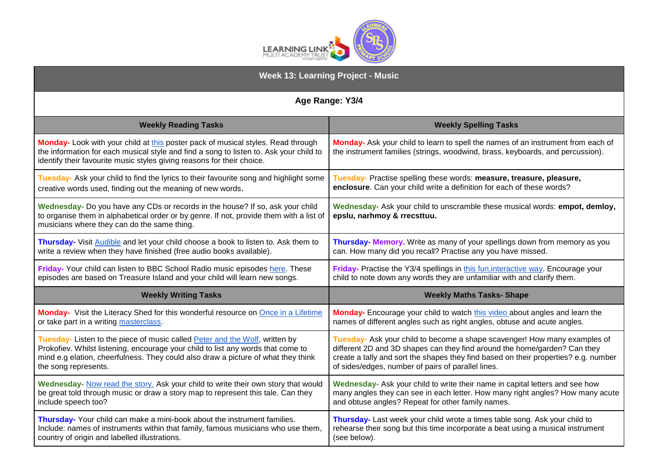

| <b>Week 13: Learning Project - Music</b>                                                                                                                                                                                                             |                                                                                                                                                                    |
|------------------------------------------------------------------------------------------------------------------------------------------------------------------------------------------------------------------------------------------------------|--------------------------------------------------------------------------------------------------------------------------------------------------------------------|
| Age Range: Y3/4                                                                                                                                                                                                                                      |                                                                                                                                                                    |
| <b>Weekly Reading Tasks</b>                                                                                                                                                                                                                          | <b>Weekly Spelling Tasks</b>                                                                                                                                       |
| Monday- Look with your child at this poster pack of musical styles. Read through<br>the information for each musical style and find a song to listen to. Ask your child to<br>identify their favourite music styles giving reasons for their choice. | Monday- Ask your child to learn to spell the names of an instrument from each of<br>the instrument families (strings, woodwind, brass, keyboards, and percussion). |
| Tuesday- Ask your child to find the lyrics to their favourite song and highlight some                                                                                                                                                                | Tuesday- Practise spelling these words: measure, treasure, pleasure,                                                                                               |
| creative words used, finding out the meaning of new words.                                                                                                                                                                                           | enclosure. Can your child write a definition for each of these words?                                                                                              |
| Wednesday- Do you have any CDs or records in the house? If so, ask your child<br>to organise them in alphabetical order or by genre. If not, provide them with a list of<br>musicians where they can do the same thing.                              | Wednesday- Ask your child to unscramble these musical words: empot, demloy,<br>epslu, narhmoy & rrecsttuu.                                                         |
| Thursday- Visit Audible and let your child choose a book to listen to. Ask them to                                                                                                                                                                   | Thursday- Memory. Write as many of your spellings down from memory as you                                                                                          |
| write a review when they have finished (free audio books available).                                                                                                                                                                                 | can. How many did you recall? Practise any you have missed.                                                                                                        |
| Friday- Your child can listen to BBC School Radio music episodes here. These                                                                                                                                                                         | Friday- Practise the Y3/4 spellings in this fun, interactive way. Encourage your                                                                                   |
| episodes are based on Treasure Island and your child will learn new songs.                                                                                                                                                                           | child to note down any words they are unfamiliar with and clarify them.                                                                                            |
| <b>Weekly Writing Tasks</b>                                                                                                                                                                                                                          | <b>Weekly Maths Tasks- Shape</b>                                                                                                                                   |
| Monday- Visit the Literacy Shed for this wonderful resource on Once in a Lifetime                                                                                                                                                                    | Monday- Encourage your child to watch this video about angles and learn the                                                                                        |
| or take part in a writing masterclass.                                                                                                                                                                                                               | names of different angles such as right angles, obtuse and acute angles.                                                                                           |
| Tuesday- Listen to the piece of music called Peter and the Wolf, written by                                                                                                                                                                          | Tuesday- Ask your child to become a shape scavenger! How many examples of                                                                                          |
| Prokofiev. Whilst listening, encourage your child to list any words that come to                                                                                                                                                                     | different 2D and 3D shapes can they find around the home/garden? Can they                                                                                          |
| mind e.g elation, cheerfulness. They could also draw a picture of what they think                                                                                                                                                                    | create a tally and sort the shapes they find based on their properties? e.g. number                                                                                |
| the song represents.                                                                                                                                                                                                                                 | of sides/edges, number of pairs of parallel lines.                                                                                                                 |
| Wednesday- Now read the story. Ask your child to write their own story that would                                                                                                                                                                    | Wednesday- Ask your child to write their name in capital letters and see how                                                                                       |
| be great told through music or draw a story map to represent this tale. Can they                                                                                                                                                                     | many angles they can see in each letter. How many right angles? How many acute                                                                                     |
| include speech too?                                                                                                                                                                                                                                  | and obtuse angles? Repeat for other family names.                                                                                                                  |
| Thursday- Your child can make a mini-book about the instrument families.                                                                                                                                                                             | Thursday- Last week your child wrote a times table song. Ask your child to                                                                                         |
| Include: names of instruments within that family, famous musicians who use them,                                                                                                                                                                     | rehearse their song but this time incorporate a beat using a musical instrument                                                                                    |
| country of origin and labelled illustrations.                                                                                                                                                                                                        | (see below).                                                                                                                                                       |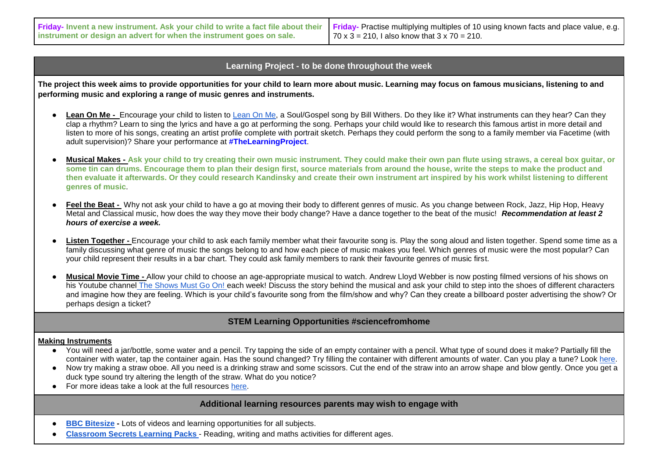| Friday- Invent a new instrument. Ask your child to write a fact file about their Friday- Practise multiplying multiples of 10 using known facts and place value, e.g. |                                                      |
|-----------------------------------------------------------------------------------------------------------------------------------------------------------------------|------------------------------------------------------|
| instrument or design an advert for when the instrument goes on sale.                                                                                                  | 70 x 3 = 210, I also know that $3 \times 70 = 210$ . |

## **Learning Project - to be done throughout the week**

**The project this week aims to provide opportunities for your child to learn more about music. Learning may focus on famous musicians, listening to and performing music and exploring a range of music genres and instruments.** 

- Lean On Me Encourage your child to listen to [Lean On Me,](https://safeyoutube.net/w/qOy6) a Soul/Gospel song by Bill Withers. Do they like it? What instruments can they hear? Can they clap a rhythm? Learn to sing the lyrics and have a go at performing the song. Perhaps your child would like to research this famous artist in more detail and listen to more of his songs, creating an artist profile complete with portrait sketch. Perhaps they could perform the song to a family member via Facetime (with adult supervision)? Share your performance at **#TheLearningProject**.
- **Musical Makes - Ask your child to try creating their own music instrument. They could make their own pan flute using straws, a cereal box guitar, or some tin can drums. Encourage them to plan their design first, source materials from around the house, write the steps to make the product and then evaluate it afterwards. Or they could research Kandinsky and create their own instrument art inspired by his work whilst listening to different genres of music**.
- **Feel the Beat -** Why not ask your child to have a go at moving their body to different genres of music. As you change between Rock, Jazz, Hip Hop, Heavy Metal and Classical music, how does the way they move their body change? Have a dance together to the beat of the music! *Recommendation at least 2 hours of exercise a week.*
- Listen Together Encourage your child to ask each family member what their favourite song is. Play the song aloud and listen together. Spend some time as a family discussing what genre of music the songs belong to and how each piece of music makes you feel. Which genres of music were the most popular? Can your child represent their results in a bar chart. They could ask family members to rank their favourite genres of music first.
- **Musical Movie Time -** Allow your child to choose an age-appropriate musical to watch. Andrew Lloyd Webber is now posting filmed versions of his shows on his Youtube channel [The Shows Must Go On! e](https://safeyoutube.net/w/1ez6)ach week! Discuss the story behind the musical and ask your child to step into the shoes of different characters and imagine how they are feeling. Which is your child's favourite song from the film/show and why? Can they create a billboard poster advertising the show? Or perhaps design a ticket?

## **STEM Learning Opportunities #sciencefromhome**

## **Making Instruments**

- You will need a jar/bottle, some water and a pencil. Try tapping the side of an empty container with a pencil. What type of sound does it make? Partially fill the container with water, tap the container again. Has the sound changed? Try filling the container with different amounts of water. Can you play a tune? Look [here.](https://youtu.be/hoy-6i7ddh8)
- Now try making a straw oboe. All you need is a drinking straw and some scissors. Cut the end of the straw into an arrow shape and blow gently. Once you get a duck type sound try altering the length of the straw. What do you notice?
- For more ideas take a look at the full resources [here.](https://www.stem.org.uk/resources/elibrary/resource/34404/sounds-science)

## **Additional learning resources parents may wish to engage with**

- **BBC [Bitesize](https://www.bbc.co.uk/bitesize/levels/zbr9wmn) -** Lots of videos and learning opportunities for all subjects.
- **[Classroom Secrets Learning Packs](https://classroomsecrets.co.uk/free-home-learning-packs/) [-](https://classroomsecrets.co.uk/free-home-learning-packs/) Reading, writing and maths activities for different ages.**